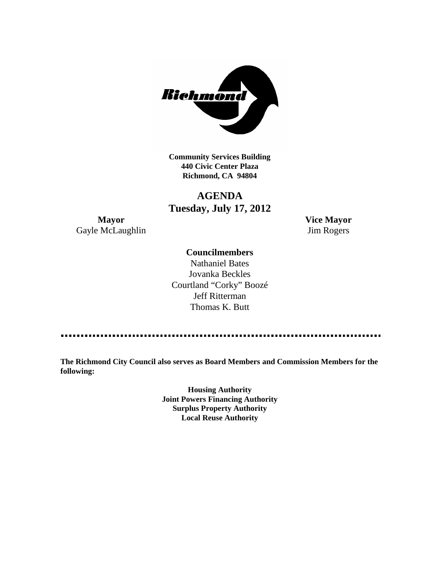

**Community Services Building 440 Civic Center Plaza Richmond, CA 94804**

# **AGENDA Tuesday, July 17, 2012**

**Mayor Vice Mayor** Gayle McLaughlin Jim Rogers

### **Councilmembers**

Nathaniel Bates Jovanka Beckles Courtland "Corky" Boozé Jeff Ritterman Thomas K. Butt

**The Richmond City Council also serves as Board Members and Commission Members for the following:**

> **Housing Authority Joint Powers Financing Authority Surplus Property Authority Local Reuse Authority**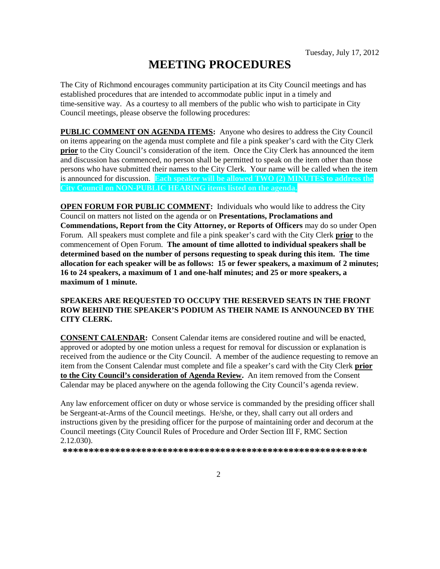# **MEETING PROCEDURES**

The City of Richmond encourages community participation at its City Council meetings and has established procedures that are intended to accommodate public input in a timely and time-sensitive way. As a courtesy to all members of the public who wish to participate in City Council meetings, please observe the following procedures:

**PUBLIC COMMENT ON AGENDA ITEMS:** Anyone who desires to address the City Council on items appearing on the agenda must complete and file a pink speaker's card with the City Clerk **prior** to the City Council's consideration of the item. Once the City Clerk has announced the item and discussion has commenced, no person shall be permitted to speak on the item other than those persons who have submitted their names to the City Clerk. Your name will be called when the item is announced for discussion. **Each speaker will be allowed TWO (2) MINUTES to address the City Council on NON-PUBLIC HEARING items listed on the agenda.**

**OPEN FORUM FOR PUBLIC COMMENT:** Individuals who would like to address the City Council on matters not listed on the agenda or on **Presentations, Proclamations and Commendations, Report from the City Attorney, or Reports of Officers** may do so under Open Forum. All speakers must complete and file a pink speaker's card with the City Clerk **prior** to the commencement of Open Forum. **The amount of time allotted to individual speakers shall be determined based on the number of persons requesting to speak during this item. The time allocation for each speaker will be as follows: 15 or fewer speakers, a maximum of 2 minutes; 16 to 24 speakers, a maximum of 1 and one-half minutes; and 25 or more speakers, a maximum of 1 minute.**

### **SPEAKERS ARE REQUESTED TO OCCUPY THE RESERVED SEATS IN THE FRONT ROW BEHIND THE SPEAKER'S PODIUM AS THEIR NAME IS ANNOUNCED BY THE CITY CLERK.**

**CONSENT CALENDAR:** Consent Calendar items are considered routine and will be enacted, approved or adopted by one motion unless a request for removal for discussion or explanation is received from the audience or the City Council. A member of the audience requesting to remove an item from the Consent Calendar must complete and file a speaker's card with the City Clerk **prior to the City Council's consideration of Agenda Review.** An item removed from the Consent Calendar may be placed anywhere on the agenda following the City Council's agenda review.

Any law enforcement officer on duty or whose service is commanded by the presiding officer shall be Sergeant-at-Arms of the Council meetings. He/she, or they, shall carry out all orders and instructions given by the presiding officer for the purpose of maintaining order and decorum at the Council meetings (City Council Rules of Procedure and Order Section III F, RMC Section 2.12.030).

**\*\*\*\*\*\*\*\*\*\*\*\*\*\*\*\*\*\*\*\*\*\*\*\*\*\*\*\*\*\*\*\*\*\*\*\*\*\*\*\*\*\*\*\*\*\*\*\*\*\*\*\*\*\*\*\*\*\***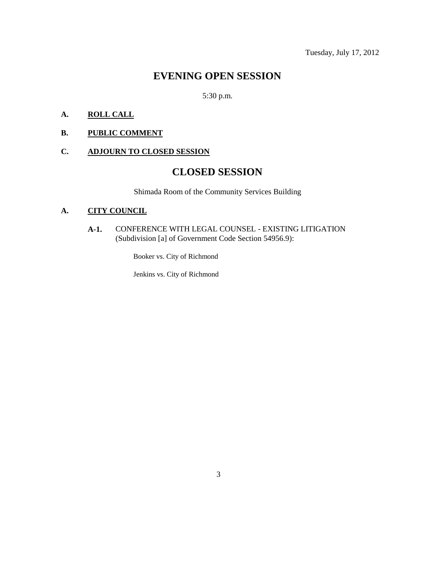## **EVENING OPEN SESSION**

5:30 p.m.

### **A. ROLL CALL**

### **B. PUBLIC COMMENT**

### **C. ADJOURN TO CLOSED SESSION**

# **CLOSED SESSION**

Shimada Room of the Community Services Building

### **A. CITY COUNCIL**

**A-1.** CONFERENCE WITH LEGAL COUNSEL - EXISTING LITIGATION (Subdivision [a] of Government Code Section 54956.9):

Booker vs. City of Richmond

Jenkins vs. City of Richmond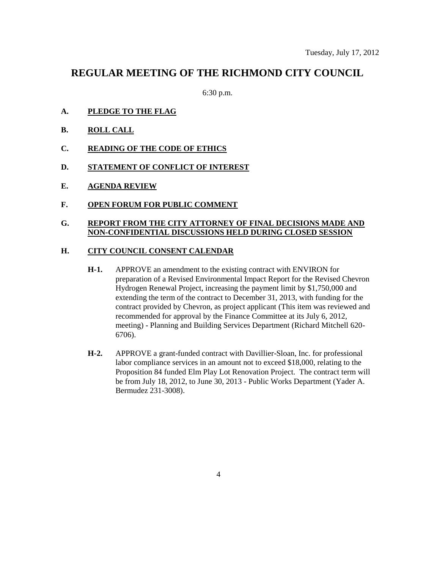## **REGULAR MEETING OF THE RICHMOND CITY COUNCIL**

6:30 p.m.

- **A. PLEDGE TO THE FLAG**
- **B. ROLL CALL**
- **C. READING OF THE CODE OF ETHICS**
- **D. STATEMENT OF CONFLICT OF INTEREST**
- **E. AGENDA REVIEW**
- **F. OPEN FORUM FOR PUBLIC COMMENT**

### **G. REPORT FROM THE CITY ATTORNEY OF FINAL DECISIONS MADE AND NON-CONFIDENTIAL DISCUSSIONS HELD DURING CLOSED SESSION**

### **H. CITY COUNCIL CONSENT CALENDAR**

- **H-1.** APPROVE an amendment to the existing contract with ENVIRON for preparation of a Revised Environmental Impact Report for the Revised Chevron Hydrogen Renewal Project, increasing the payment limit by \$1,750,000 and extending the term of the contract to December 31, 2013, with funding for the contract provided by Chevron, as project applicant (This item was reviewed and recommended for approval by the Finance Committee at its July 6, 2012, meeting) - Planning and Building Services Department (Richard Mitchell 620- 6706).
- **H-2.** APPROVE a grant-funded contract with Davillier-Sloan, Inc. for professional labor compliance services in an amount not to exceed \$18,000, relating to the Proposition 84 funded Elm Play Lot Renovation Project. The contract term will be from July 18, 2012, to June 30, 2013 - Public Works Department (Yader A. Bermudez 231-3008).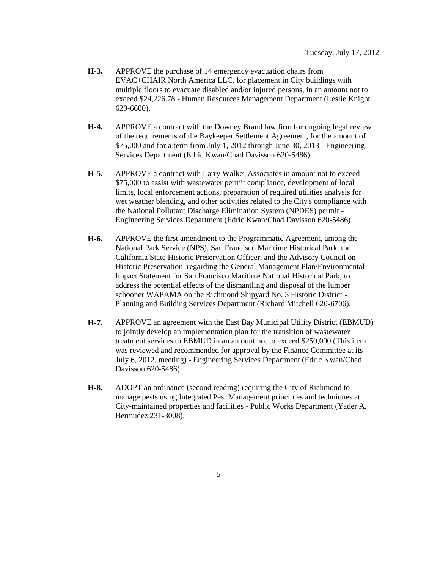- **H-3.** APPROVE the purchase of 14 emergency evacuation chairs from EVAC+CHAIR North America LLC, for placement in City buildings with multiple floors to evacuate disabled and/or injured persons, in an amount not to exceed \$24,226.78 - Human Resources Management Department (Leslie Knight 620-6600).
- **H-4.** APPROVE a contract with the Downey Brand law firm for ongoing legal review of the requirements of the Baykeeper Settlement Agreement, for the amount of \$75,000 and for a term from July 1, 2012 through June 30, 2013 - Engineering Services Department (Edric Kwan/Chad Davisson 620-5486).
- **H-5.** APPROVE a contract with Larry Walker Associates in amount not to exceed \$75,000 to assist with wastewater permit compliance, development of local limits, local enforcement actions, preparation of required utilities analysis for wet weather blending, and other activities related to the City's compliance with the National Pollutant Discharge Elimination System (NPDES) permit - Engineering Services Department (Edric Kwan/Chad Davisson 620-5486).
- **H-6.** APPROVE the first amendment to the Programmatic Agreement, among the National Park Service (NPS), San Francisco Maritime Historical Park, the California State Historic Preservation Officer, and the Advisory Council on Historic Preservation regarding the General Management Plan/Environmental Impact Statement for San Francisco Maritime National Historical Park, to address the potential effects of the dismantling and disposal of the lumber schooner WAPAMA on the Richmond Shipyard No. 3 Historic District - Planning and Building Services Department (Richard Mitchell 620-6706).
- **H-7.** APPROVE an agreement with the East Bay Municipal Utility District (EBMUD) to jointly develop an implementation plan for the transition of wastewater treatment services to EBMUD in an amount not to exceed \$250,000 (This item was reviewed and recommended for approval by the Finance Committee at its July 6, 2012, meeting) - Engineering Services Department (Edric Kwan/Chad Davisson 620-5486).
- **H-8.** ADOPT an ordinance (second reading) requiring the City of Richmond to manage pests using Integrated Pest Management principles and techniques at City-maintained properties and facilities - Public Works Department (Yader A. Bermudez 231-3008).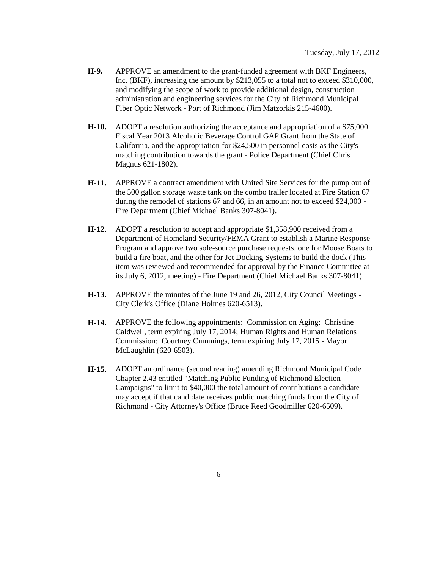- **H-9.** APPROVE an amendment to the grant-funded agreement with BKF Engineers, Inc. (BKF), increasing the amount by \$213,055 to a total not to exceed \$310,000, and modifying the scope of work to provide additional design, construction administration and engineering services for the City of Richmond Municipal Fiber Optic Network - Port of Richmond (Jim Matzorkis 215-4600).
- **H-10.** ADOPT a resolution authorizing the acceptance and appropriation of a \$75,000 Fiscal Year 2013 Alcoholic Beverage Control GAP Grant from the State of California, and the appropriation for \$24,500 in personnel costs as the City's matching contribution towards the grant - Police Department (Chief Chris Magnus 621-1802).
- **H-11.** APPROVE a contract amendment with United Site Services for the pump out of the 500 gallon storage waste tank on the combo trailer located at Fire Station 67 during the remodel of stations 67 and 66, in an amount not to exceed \$24,000 - Fire Department (Chief Michael Banks 307-8041).
- **H-12.** ADOPT a resolution to accept and appropriate \$1,358,900 received from a Department of Homeland Security/FEMA Grant to establish a Marine Response Program and approve two sole-source purchase requests, one for Moose Boats to build a fire boat, and the other for Jet Docking Systems to build the dock (This item was reviewed and recommended for approval by the Finance Committee at its July 6, 2012, meeting) - Fire Department (Chief Michael Banks 307-8041).
- **H-13.** APPROVE the minutes of the June 19 and 26, 2012, City Council Meetings City Clerk's Office (Diane Holmes 620-6513).
- **H-14.** APPROVE the following appointments: Commission on Aging: Christine Caldwell, term expiring July 17, 2014; Human Rights and Human Relations Commission: Courtney Cummings, term expiring July 17, 2015 - Mayor McLaughlin (620-6503).
- **H-15.** ADOPT an ordinance (second reading) amending Richmond Municipal Code Chapter 2.43 entitled "Matching Public Funding of Richmond Election Campaigns" to limit to \$40,000 the total amount of contributions a candidate may accept if that candidate receives public matching funds from the City of Richmond - City Attorney's Office (Bruce Reed Goodmiller 620-6509).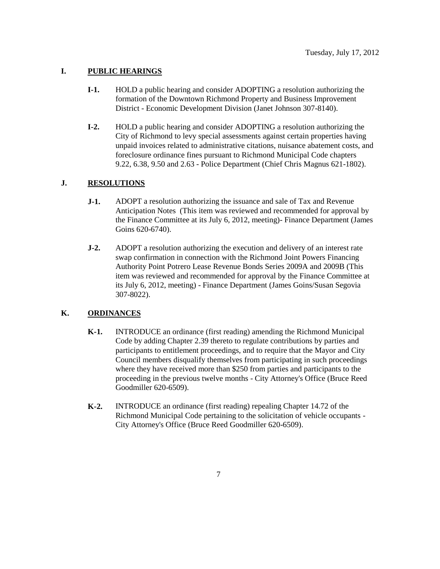### **I. PUBLIC HEARINGS**

- **I-1.** HOLD a public hearing and consider ADOPTING a resolution authorizing the formation of the Downtown Richmond Property and Business Improvement District - Economic Development Division (Janet Johnson 307-8140).
- **I-2.** HOLD a public hearing and consider ADOPTING a resolution authorizing the City of Richmond to levy special assessments against certain properties having unpaid invoices related to administrative citations, nuisance abatement costs, and foreclosure ordinance fines pursuant to Richmond Municipal Code chapters 9.22, 6.38, 9.50 and 2.63 - Police Department (Chief Chris Magnus 621-1802).

### **J. RESOLUTIONS**

- **J-1.** ADOPT a resolution authorizing the issuance and sale of Tax and Revenue Anticipation Notes (This item was reviewed and recommended for approval by the Finance Committee at its July 6, 2012, meeting)- Finance Department (James Goins 620-6740).
- **J-2.** ADOPT a resolution authorizing the execution and delivery of an interest rate swap confirmation in connection with the Richmond Joint Powers Financing Authority Point Potrero Lease Revenue Bonds Series 2009A and 2009B (This item was reviewed and recommended for approval by the Finance Committee at its July 6, 2012, meeting) - Finance Department (James Goins/Susan Segovia 307-8022).

#### **K. ORDINANCES**

- **K-1.** INTRODUCE an ordinance (first reading) amending the Richmond Municipal Code by adding Chapter 2.39 thereto to regulate contributions by parties and participants to entitlement proceedings, and to require that the Mayor and City Council members disqualify themselves from participating in such proceedings where they have received more than \$250 from parties and participants to the proceeding in the previous twelve months - City Attorney's Office (Bruce Reed Goodmiller 620-6509).
- **K-2.** INTRODUCE an ordinance (first reading) repealing Chapter 14.72 of the Richmond Municipal Code pertaining to the solicitation of vehicle occupants - City Attorney's Office (Bruce Reed Goodmiller 620-6509).